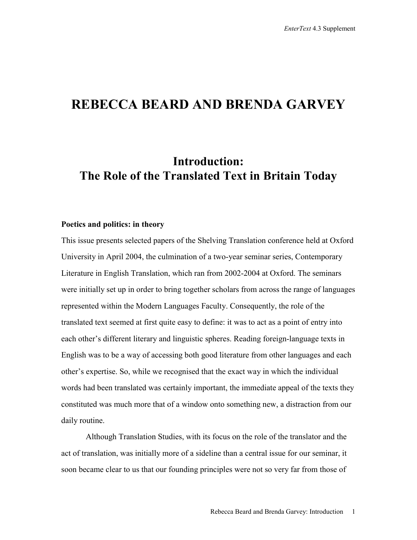# **REBECCA BEARD AND BRENDA GARVEY**

## **Introduction: The Role of the Translated Text in Britain Today**

### **Poetics and politics: in theory**

This issue presents selected papers of the Shelving Translation conference held at Oxford University in April 2004, the culmination of a two-year seminar series, Contemporary Literature in English Translation, which ran from 2002-2004 at Oxford. The seminars were initially set up in order to bring together scholars from across the range of languages represented within the Modern Languages Faculty. Consequently, the role of the translated text seemed at first quite easy to define: it was to act as a point of entry into each other's different literary and linguistic spheres. Reading foreign-language texts in English was to be a way of accessing both good literature from other languages and each other's expertise. So, while we recognised that the exact way in which the individual words had been translated was certainly important, the immediate appeal of the texts they constituted was much more that of a window onto something new, a distraction from our daily routine.

Although Translation Studies, with its focus on the role of the translator and the act of translation, was initially more of a sideline than a central issue for our seminar, it soon became clear to us that our founding principles were not so very far from those of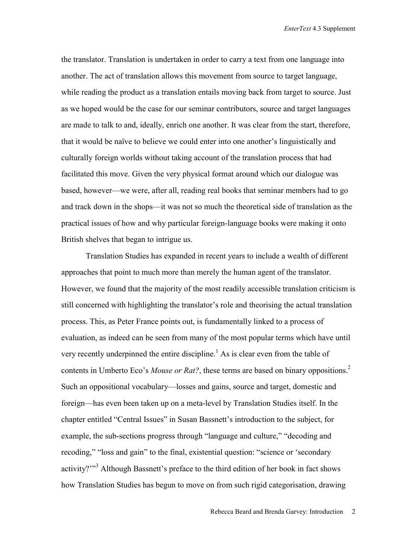the translator. Translation is undertaken in order to carry a text from one language into another. The act of translation allows this movement from source to target language, while reading the product as a translation entails moving back from target to source. Just as we hoped would be the case for our seminar contributors, source and target languages are made to talk to and, ideally, enrich one another. It was clear from the start, therefore, that it would be naïve to believe we could enter into one another's linguistically and culturally foreign worlds without taking account of the translation process that had facilitated this move. Given the very physical format around which our dialogue was based, however—we were, after all, reading real books that seminar members had to go and track down in the shops—it was not so much the theoretical side of translation as the practical issues of how and why particular foreign-language books were making it onto British shelves that began to intrigue us.

Translation Studies has expanded in recent years to include a wealth of different approaches that point to much more than merely the human agent of the translator. However, we found that the majority of the most readily accessible translation criticism is still concerned with highlighting the translator's role and theorising the actual translation process. This, as Peter France points out, is fundamentally linked to a process of evaluation, as indeed can be seen from many of the most popular terms which have until very recently underpinned the entire discipline.<sup>1</sup> As is clear even from the table of contents in Umberto Eco's *Mouse or Rat?*, these terms are based on binary oppositions.<sup>2</sup> Such an oppositional vocabulary—losses and gains, source and target, domestic and foreign—has even been taken up on a meta-level by Translation Studies itself. In the chapter entitled "Central Issues" in Susan Bassnett's introduction to the subject, for example, the sub-sections progress through "language and culture," "decoding and recoding," "loss and gain" to the final, existential question: "science or 'secondary activity?"<sup>3</sup> Although Bassnett's preface to the third edition of her book in fact shows how Translation Studies has begun to move on from such rigid categorisation, drawing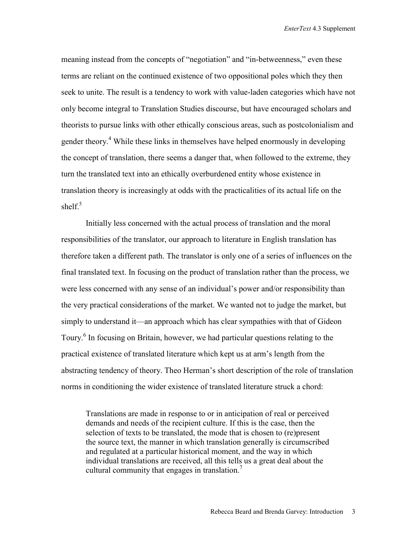meaning instead from the concepts of "negotiation" and "in-betweenness," even these terms are reliant on the continued existence of two oppositional poles which they then seek to unite. The result is a tendency to work with value-laden categories which have not only become integral to Translation Studies discourse, but have encouraged scholars and theorists to pursue links with other ethically conscious areas, such as postcolonialism and gender theory.<sup>4</sup> While these links in themselves have helped enormously in developing the concept of translation, there seems a danger that, when followed to the extreme, they turn the translated text into an ethically overburdened entity whose existence in translation theory is increasingly at odds with the practicalities of its actual life on the shelf. $5$ 

Initially less concerned with the actual process of translation and the moral responsibilities of the translator, our approach to literature in English translation has therefore taken a different path. The translator is only one of a series of influences on the final translated text. In focusing on the product of translation rather than the process, we were less concerned with any sense of an individual's power and/or responsibility than the very practical considerations of the market. We wanted not to judge the market, but simply to understand it—an approach which has clear sympathies with that of Gideon Toury.<sup>6</sup> In focusing on Britain, however, we had particular questions relating to the practical existence of translated literature which kept us at arm's length from the abstracting tendency of theory. Theo Herman's short description of the role of translation norms in conditioning the wider existence of translated literature struck a chord:

Translations are made in response to or in anticipation of real or perceived demands and needs of the recipient culture. If this is the case, then the selection of texts to be translated, the mode that is chosen to (re)present the source text, the manner in which translation generally is circumscribed and regulated at a particular historical moment, and the way in which individual translations are received, all this tells us a great deal about the cultural community that engages in translation.<sup>7</sup>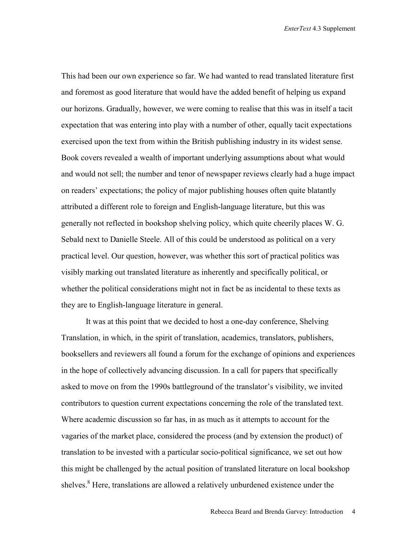This had been our own experience so far. We had wanted to read translated literature first and foremost as good literature that would have the added benefit of helping us expand our horizons. Gradually, however, we were coming to realise that this was in itself a tacit expectation that was entering into play with a number of other, equally tacit expectations exercised upon the text from within the British publishing industry in its widest sense. Book covers revealed a wealth of important underlying assumptions about what would and would not sell; the number and tenor of newspaper reviews clearly had a huge impact on readers' expectations; the policy of major publishing houses often quite blatantly attributed a different role to foreign and English-language literature, but this was generally not reflected in bookshop shelving policy, which quite cheerily places W. G. Sebald next to Danielle Steele. All of this could be understood as political on a very practical level. Our question, however, was whether this sort of practical politics was visibly marking out translated literature as inherently and specifically political, or whether the political considerations might not in fact be as incidental to these texts as they are to English-language literature in general.

It was at this point that we decided to host a one-day conference, Shelving Translation, in which, in the spirit of translation, academics, translators, publishers, booksellers and reviewers all found a forum for the exchange of opinions and experiences in the hope of collectively advancing discussion. In a call for papers that specifically asked to move on from the 1990s battleground of the translator's visibility, we invited contributors to question current expectations concerning the role of the translated text. Where academic discussion so far has, in as much as it attempts to account for the vagaries of the market place, considered the process (and by extension the product) of translation to be invested with a particular socio-political significance, we set out how this might be challenged by the actual position of translated literature on local bookshop shelves.<sup>8</sup> Here, translations are allowed a relatively unburdened existence under the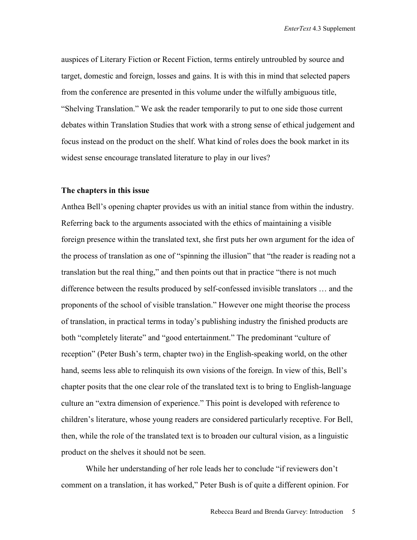auspices of Literary Fiction or Recent Fiction, terms entirely untroubled by source and target, domestic and foreign, losses and gains. It is with this in mind that selected papers from the conference are presented in this volume under the wilfully ambiguous title, "Shelving Translation." We ask the reader temporarily to put to one side those current debates within Translation Studies that work with a strong sense of ethical judgement and focus instead on the product on the shelf. What kind of roles does the book market in its widest sense encourage translated literature to play in our lives?

#### **The chapters in this issue**

Anthea Bell's opening chapter provides us with an initial stance from within the industry. Referring back to the arguments associated with the ethics of maintaining a visible foreign presence within the translated text, she first puts her own argument for the idea of the process of translation as one of "spinning the illusion" that "the reader is reading not a translation but the real thing," and then points out that in practice "there is not much difference between the results produced by self-confessed invisible translators … and the proponents of the school of visible translation." However one might theorise the process of translation, in practical terms in today's publishing industry the finished products are both "completely literate" and "good entertainment." The predominant "culture of reception" (Peter Bush's term, chapter two) in the English-speaking world, on the other hand, seems less able to relinquish its own visions of the foreign. In view of this, Bell's chapter posits that the one clear role of the translated text is to bring to English-language culture an "extra dimension of experience." This point is developed with reference to children's literature, whose young readers are considered particularly receptive. For Bell, then, while the role of the translated text is to broaden our cultural vision, as a linguistic product on the shelves it should not be seen.

While her understanding of her role leads her to conclude "if reviewers don't comment on a translation, it has worked," Peter Bush is of quite a different opinion. For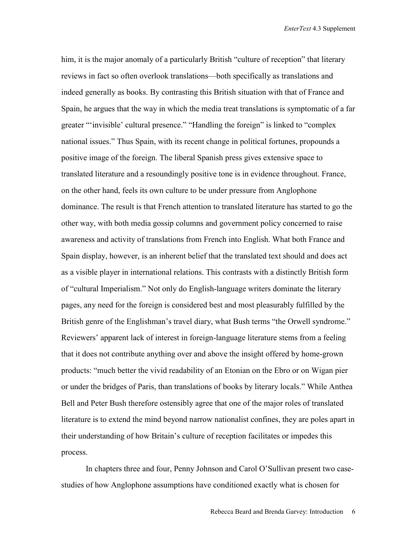him, it is the major anomaly of a particularly British "culture of reception" that literary reviews in fact so often overlook translations—both specifically as translations and indeed generally as books. By contrasting this British situation with that of France and Spain, he argues that the way in which the media treat translations is symptomatic of a far greater "'invisible' cultural presence." "Handling the foreign" is linked to "complex national issues." Thus Spain, with its recent change in political fortunes, propounds a positive image of the foreign. The liberal Spanish press gives extensive space to translated literature and a resoundingly positive tone is in evidence throughout. France, on the other hand, feels its own culture to be under pressure from Anglophone dominance. The result is that French attention to translated literature has started to go the other way, with both media gossip columns and government policy concerned to raise awareness and activity of translations from French into English. What both France and Spain display, however, is an inherent belief that the translated text should and does act as a visible player in international relations. This contrasts with a distinctly British form of "cultural Imperialism." Not only do English-language writers dominate the literary pages, any need for the foreign is considered best and most pleasurably fulfilled by the British genre of the Englishman's travel diary, what Bush terms "the Orwell syndrome." Reviewers' apparent lack of interest in foreign-language literature stems from a feeling that it does not contribute anything over and above the insight offered by home-grown products: "much better the vivid readability of an Etonian on the Ebro or on Wigan pier or under the bridges of Paris, than translations of books by literary locals." While Anthea Bell and Peter Bush therefore ostensibly agree that one of the major roles of translated literature is to extend the mind beyond narrow nationalist confines, they are poles apart in their understanding of how Britain's culture of reception facilitates or impedes this process.

In chapters three and four, Penny Johnson and Carol O'Sullivan present two casestudies of how Anglophone assumptions have conditioned exactly what is chosen for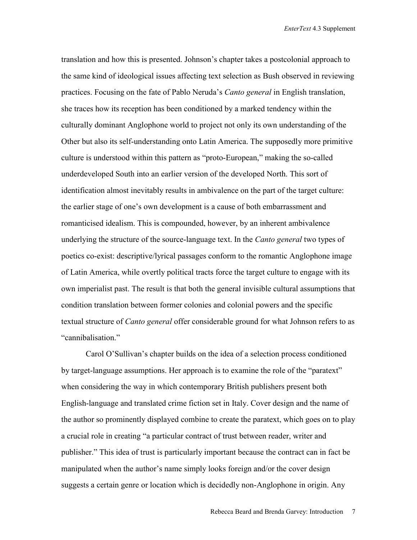translation and how this is presented. Johnson's chapter takes a postcolonial approach to the same kind of ideological issues affecting text selection as Bush observed in reviewing practices. Focusing on the fate of Pablo Neruda's *Canto general* in English translation, she traces how its reception has been conditioned by a marked tendency within the culturally dominant Anglophone world to project not only its own understanding of the Other but also its self-understanding onto Latin America. The supposedly more primitive culture is understood within this pattern as "proto-European," making the so-called underdeveloped South into an earlier version of the developed North. This sort of identification almost inevitably results in ambivalence on the part of the target culture: the earlier stage of one's own development is a cause of both embarrassment and romanticised idealism. This is compounded, however, by an inherent ambivalence underlying the structure of the source-language text. In the *Canto general* two types of poetics co-exist: descriptive/lyrical passages conform to the romantic Anglophone image of Latin America, while overtly political tracts force the target culture to engage with its own imperialist past. The result is that both the general invisible cultural assumptions that condition translation between former colonies and colonial powers and the specific textual structure of *Canto general* offer considerable ground for what Johnson refers to as "cannibalisation."

Carol O'Sullivan's chapter builds on the idea of a selection process conditioned by target-language assumptions. Her approach is to examine the role of the "paratext" when considering the way in which contemporary British publishers present both English-language and translated crime fiction set in Italy. Cover design and the name of the author so prominently displayed combine to create the paratext, which goes on to play a crucial role in creating "a particular contract of trust between reader, writer and publisher." This idea of trust is particularly important because the contract can in fact be manipulated when the author's name simply looks foreign and/or the cover design suggests a certain genre or location which is decidedly non-Anglophone in origin. Any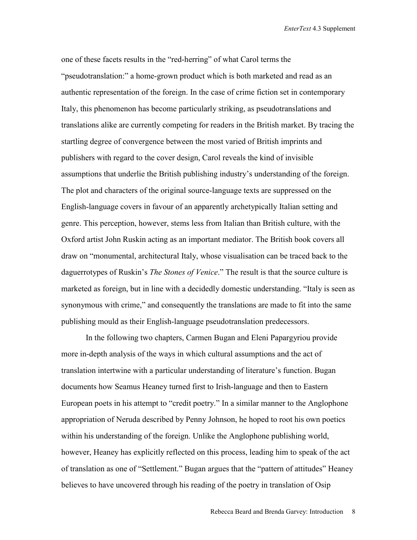*EnterText* 4.3 Supplement

one of these facets results in the "red-herring" of what Carol terms the "pseudotranslation:" a home-grown product which is both marketed and read as an authentic representation of the foreign. In the case of crime fiction set in contemporary Italy, this phenomenon has become particularly striking, as pseudotranslations and translations alike are currently competing for readers in the British market. By tracing the startling degree of convergence between the most varied of British imprints and publishers with regard to the cover design, Carol reveals the kind of invisible assumptions that underlie the British publishing industry's understanding of the foreign. The plot and characters of the original source-language texts are suppressed on the English-language covers in favour of an apparently archetypically Italian setting and genre. This perception, however, stems less from Italian than British culture, with the Oxford artist John Ruskin acting as an important mediator. The British book covers all draw on "monumental, architectural Italy, whose visualisation can be traced back to the daguerrotypes of Ruskin's *The Stones of Venice*." The result is that the source culture is marketed as foreign, but in line with a decidedly domestic understanding. "Italy is seen as synonymous with crime," and consequently the translations are made to fit into the same publishing mould as their English-language pseudotranslation predecessors.

In the following two chapters, Carmen Bugan and Eleni Papargyriou provide more in-depth analysis of the ways in which cultural assumptions and the act of translation intertwine with a particular understanding of literature's function. Bugan documents how Seamus Heaney turned first to Irish-language and then to Eastern European poets in his attempt to "credit poetry." In a similar manner to the Anglophone appropriation of Neruda described by Penny Johnson, he hoped to root his own poetics within his understanding of the foreign. Unlike the Anglophone publishing world, however, Heaney has explicitly reflected on this process, leading him to speak of the act of translation as one of "Settlement." Bugan argues that the "pattern of attitudes" Heaney believes to have uncovered through his reading of the poetry in translation of Osip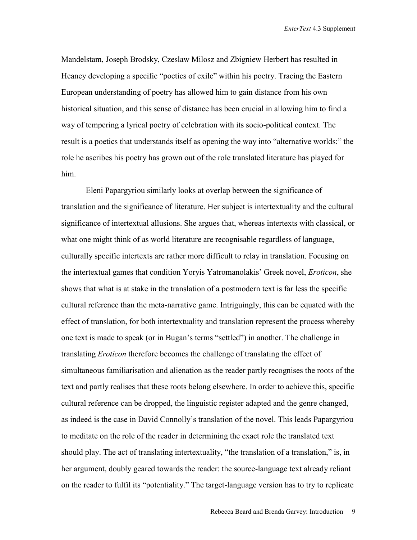Mandelstam, Joseph Brodsky, Czeslaw Milosz and Zbigniew Herbert has resulted in Heaney developing a specific "poetics of exile" within his poetry. Tracing the Eastern European understanding of poetry has allowed him to gain distance from his own historical situation, and this sense of distance has been crucial in allowing him to find a way of tempering a lyrical poetry of celebration with its socio-political context. The result is a poetics that understands itself as opening the way into "alternative worlds:" the role he ascribes his poetry has grown out of the role translated literature has played for him.

Eleni Papargyriou similarly looks at overlap between the significance of translation and the significance of literature. Her subject is intertextuality and the cultural significance of intertextual allusions. She argues that, whereas intertexts with classical, or what one might think of as world literature are recognisable regardless of language, culturally specific intertexts are rather more difficult to relay in translation. Focusing on the intertextual games that condition Yoryis Yatromanolakis' Greek novel, *Eroticon*, she shows that what is at stake in the translation of a postmodern text is far less the specific cultural reference than the meta-narrative game. Intriguingly, this can be equated with the effect of translation, for both intertextuality and translation represent the process whereby one text is made to speak (or in Bugan's terms "settled") in another. The challenge in translating *Eroticon* therefore becomes the challenge of translating the effect of simultaneous familiarisation and alienation as the reader partly recognises the roots of the text and partly realises that these roots belong elsewhere. In order to achieve this, specific cultural reference can be dropped, the linguistic register adapted and the genre changed, as indeed is the case in David Connolly's translation of the novel. This leads Papargyriou to meditate on the role of the reader in determining the exact role the translated text should play. The act of translating intertextuality, "the translation of a translation," is, in her argument, doubly geared towards the reader: the source-language text already reliant on the reader to fulfil its "potentiality." The target-language version has to try to replicate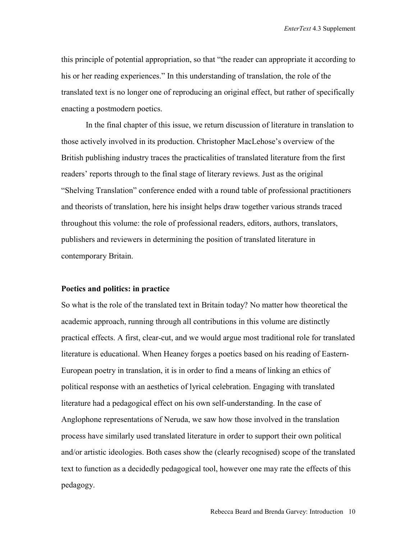this principle of potential appropriation, so that "the reader can appropriate it according to his or her reading experiences." In this understanding of translation, the role of the translated text is no longer one of reproducing an original effect, but rather of specifically enacting a postmodern poetics.

In the final chapter of this issue, we return discussion of literature in translation to those actively involved in its production. Christopher MacLehose's overview of the British publishing industry traces the practicalities of translated literature from the first readers' reports through to the final stage of literary reviews. Just as the original "Shelving Translation" conference ended with a round table of professional practitioners and theorists of translation, here his insight helps draw together various strands traced throughout this volume: the role of professional readers, editors, authors, translators, publishers and reviewers in determining the position of translated literature in contemporary Britain.

#### **Poetics and politics: in practice**

So what is the role of the translated text in Britain today? No matter how theoretical the academic approach, running through all contributions in this volume are distinctly practical effects. A first, clear-cut, and we would argue most traditional role for translated literature is educational. When Heaney forges a poetics based on his reading of Eastern-European poetry in translation, it is in order to find a means of linking an ethics of political response with an aesthetics of lyrical celebration. Engaging with translated literature had a pedagogical effect on his own self-understanding. In the case of Anglophone representations of Neruda, we saw how those involved in the translation process have similarly used translated literature in order to support their own political and/or artistic ideologies. Both cases show the (clearly recognised) scope of the translated text to function as a decidedly pedagogical tool, however one may rate the effects of this pedagogy.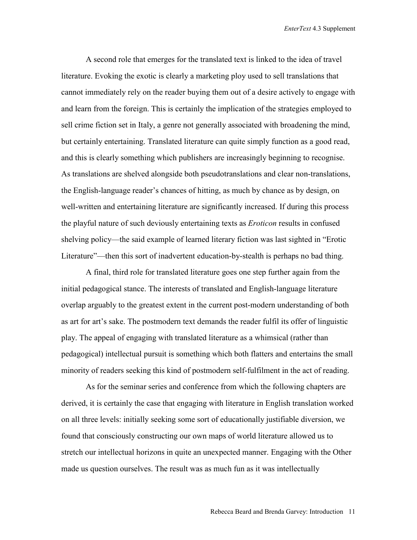A second role that emerges for the translated text is linked to the idea of travel literature. Evoking the exotic is clearly a marketing ploy used to sell translations that cannot immediately rely on the reader buying them out of a desire actively to engage with and learn from the foreign. This is certainly the implication of the strategies employed to sell crime fiction set in Italy, a genre not generally associated with broadening the mind, but certainly entertaining. Translated literature can quite simply function as a good read, and this is clearly something which publishers are increasingly beginning to recognise. As translations are shelved alongside both pseudotranslations and clear non-translations, the English-language reader's chances of hitting, as much by chance as by design, on well-written and entertaining literature are significantly increased. If during this process the playful nature of such deviously entertaining texts as *Eroticon* results in confused shelving policy—the said example of learned literary fiction was last sighted in "Erotic Literature"—then this sort of inadvertent education-by-stealth is perhaps no bad thing.

A final, third role for translated literature goes one step further again from the initial pedagogical stance. The interests of translated and English-language literature overlap arguably to the greatest extent in the current post-modern understanding of both as art for art's sake. The postmodern text demands the reader fulfil its offer of linguistic play. The appeal of engaging with translated literature as a whimsical (rather than pedagogical) intellectual pursuit is something which both flatters and entertains the small minority of readers seeking this kind of postmodern self-fulfilment in the act of reading.

As for the seminar series and conference from which the following chapters are derived, it is certainly the case that engaging with literature in English translation worked on all three levels: initially seeking some sort of educationally justifiable diversion, we found that consciously constructing our own maps of world literature allowed us to stretch our intellectual horizons in quite an unexpected manner. Engaging with the Other made us question ourselves. The result was as much fun as it was intellectually